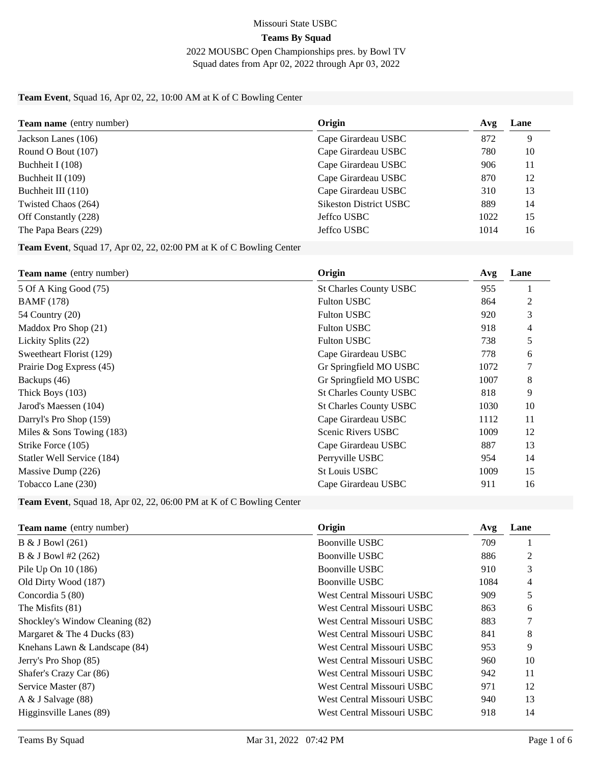#### Missouri State USBC **Teams By Squad**

#### 2022 MOUSBC Open Championships pres. by Bowl TV Squad dates from Apr 02, 2022 through Apr 03, 2022

#### **Team Event**, Squad 16, Apr 02, 22, 10:00 AM at K of C Bowling Center

| <b>Team name</b> (entry number) | Origin                        | Avg  | Lane |
|---------------------------------|-------------------------------|------|------|
| Jackson Lanes (106)             | Cape Girardeau USBC           | 872  | 9    |
| Round O Bout (107)              | Cape Girardeau USBC           | 780  | 10   |
| Buchheit I (108)                | Cape Girardeau USBC           | 906  | 11   |
| Buchheit II (109)               | Cape Girardeau USBC           | 870  | 12   |
| Buchheit III (110)              | Cape Girardeau USBC           | 310  | 13   |
| Twisted Chaos (264)             | <b>Sikeston District USBC</b> | 889  | 14   |
| Off Constantly (228)            | Jeffco USBC                   | 1022 | 15   |
| The Papa Bears (229)            | Jeffco USBC                   | 1014 | 16   |

**Team Event**, Squad 17, Apr 02, 22, 02:00 PM at K of C Bowling Center

| <b>Team name</b> (entry number) | Origin                        | Avg  | Lane |
|---------------------------------|-------------------------------|------|------|
| 5 Of A King Good (75)           | <b>St Charles County USBC</b> | 955  |      |
| <b>BAMF</b> (178)               | <b>Fulton USBC</b>            | 864  | 2    |
| 54 Country (20)                 | <b>Fulton USBC</b>            | 920  | 3    |
| Maddox Pro Shop (21)            | <b>Fulton USBC</b>            | 918  | 4    |
| Lickity Splits (22)             | <b>Fulton USBC</b>            | 738  | 5    |
| Sweetheart Florist (129)        | Cape Girardeau USBC           | 778  | 6    |
| Prairie Dog Express (45)        | Gr Springfield MO USBC        | 1072 |      |
| Backups (46)                    | Gr Springfield MO USBC        | 1007 | 8    |
| Thick Boys (103)                | <b>St Charles County USBC</b> | 818  | 9    |
| Jarod's Maessen (104)           | <b>St Charles County USBC</b> | 1030 | 10   |
| Darryl's Pro Shop (159)         | Cape Girardeau USBC           | 1112 | 11   |
| Miles $&$ Sons Towing (183)     | <b>Scenic Rivers USBC</b>     | 1009 | 12   |
| Strike Force (105)              | Cape Girardeau USBC           | 887  | 13   |
| Statler Well Service (184)      | Perryville USBC               | 954  | 14   |
| Massive Dump (226)              | <b>St Louis USBC</b>          | 1009 | 15   |
| Tobacco Lane (230)              | Cape Girardeau USBC           | 911  | 16   |

**Team Event**, Squad 18, Apr 02, 22, 06:00 PM at K of C Bowling Center

| <b>Team name</b> (entry number)   | Origin                     | Avg  | Lane |
|-----------------------------------|----------------------------|------|------|
| $B & J$ Bowl (261)                | Boonville USBC             | 709  |      |
| $B & J$ Bowl #2 (262)             | Boonville USBC             | 886  | 2    |
| Pile Up On 10 (186)               | Boonville USBC             | 910  | 3    |
| Old Dirty Wood (187)              | Boonville USBC             | 1084 | 4    |
| Concordia 5 (80)                  | West Central Missouri USBC | 909  | 5    |
| The Misfits (81)                  | West Central Missouri USBC | 863  | 6    |
| Shockley's Window Cleaning (82)   | West Central Missouri USBC | 883  |      |
| Margaret & The 4 Ducks $(83)$     | West Central Missouri USBC | 841  | 8    |
| Knehans Lawn $&$ Landscape $(84)$ | West Central Missouri USBC | 953  | 9    |
| Jerry's Pro Shop (85)             | West Central Missouri USBC | 960  | 10   |
| Shafer's Crazy Car (86)           | West Central Missouri USBC | 942  | 11   |
| Service Master (87)               | West Central Missouri USBC | 971  | 12   |
| A $&$ J Salvage $(88)$            | West Central Missouri USBC | 940  | 13   |
| Higginsville Lanes (89)           | West Central Missouri USBC | 918  | 14   |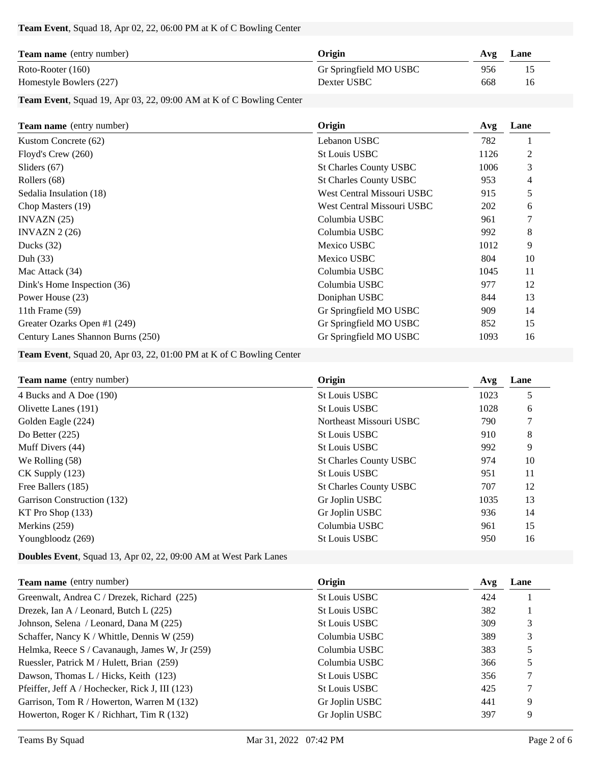#### **Team Event**, Squad 18, Apr 02, 22, 06:00 PM at K of C Bowling Center

| <b>Team name</b> (entry number) | Origin                 | Avg | Lane |
|---------------------------------|------------------------|-----|------|
| Roto-Rooter (160)               | Gr Springfield MO USBC | 956 | 15   |
| Homestyle Bowlers (227)         | Dexter USBC            | 668 | 16   |

**Team Event**, Squad 19, Apr 03, 22, 09:00 AM at K of C Bowling Center

| Team name (entry number)          | Origin                        | Avg  | Lane |
|-----------------------------------|-------------------------------|------|------|
| Kustom Concrete (62)              | Lebanon USBC                  | 782  |      |
| Floyd's Crew (260)                | <b>St Louis USBC</b>          | 1126 | 2    |
| Sliders $(67)$                    | <b>St Charles County USBC</b> | 1006 | 3    |
| Rollers (68)                      | <b>St Charles County USBC</b> | 953  | 4    |
| Sedalia Insulation (18)           | West Central Missouri USBC    | 915  | 5    |
| Chop Masters (19)                 | West Central Missouri USBC    | 202  | 6    |
| INVAZN(25)                        | Columbia USBC                 | 961  |      |
| INVAZN $2(26)$                    | Columbia USBC                 | 992  | 8    |
| Ducks $(32)$                      | Mexico USBC                   | 1012 | 9    |
| Duh $(33)$                        | Mexico USBC                   | 804  | 10   |
| Mac Attack (34)                   | Columbia USBC                 | 1045 | 11   |
| Dink's Home Inspection (36)       | Columbia USBC                 | 977  | 12   |
| Power House (23)                  | Doniphan USBC                 | 844  | 13   |
| 11th Frame $(59)$                 | Gr Springfield MO USBC        | 909  | 14   |
| Greater Ozarks Open #1 (249)      | Gr Springfield MO USBC        | 852  | 15   |
| Century Lanes Shannon Burns (250) | Gr Springfield MO USBC        | 1093 | 16   |

**Team Event**, Squad 20, Apr 03, 22, 01:00 PM at K of C Bowling Center

| <b>Team name</b> (entry number) | Origin                        | Avg  | Lane |
|---------------------------------|-------------------------------|------|------|
| 4 Bucks and A Doe (190)         | <b>St Louis USBC</b>          | 1023 | 5    |
| Olivette Lanes (191)            | <b>St Louis USBC</b>          | 1028 | 6    |
| Golden Eagle (224)              | Northeast Missouri USBC       | 790  |      |
| Do Better $(225)$               | <b>St Louis USBC</b>          | 910  | 8    |
| Muff Divers (44)                | <b>St Louis USBC</b>          | 992  | 9    |
| We Rolling (58)                 | <b>St Charles County USBC</b> | 974  | 10   |
| $CK$ Supply $(123)$             | <b>St Louis USBC</b>          | 951  | 11   |
| Free Ballers (185)              | <b>St Charles County USBC</b> | 707  | 12   |
| Garrison Construction (132)     | Gr Joplin USBC                | 1035 | 13   |
| $KT$ Pro Shop $(133)$           | Gr Joplin USBC                | 936  | 14   |
| Merkins $(259)$                 | Columbia USBC                 | 961  | 15   |
| Youngbloodz (269)               | <b>St Louis USBC</b>          | 950  | 16   |

**Doubles Event**, Squad 13, Apr 02, 22, 09:00 AM at West Park Lanes

| <b>Team name</b> (entry number)                 | Origin               | Avg | Lane |
|-------------------------------------------------|----------------------|-----|------|
| Greenwalt, Andrea C / Drezek, Richard (225)     | St Louis USBC        | 424 |      |
| Drezek, Ian A / Leonard, Butch L $(225)$        | <b>St Louis USBC</b> | 382 |      |
| Johnson, Selena / Leonard, Dana M (225)         | <b>St Louis USBC</b> | 309 |      |
| Schaffer, Nancy K / Whittle, Dennis W (259)     | Columbia USBC        | 389 |      |
| Helmka, Reece S / Cavanaugh, James W, Jr (259)  | Columbia USBC        | 383 |      |
| Ruessler, Patrick M / Hulett, Brian (259)       | Columbia USBC        | 366 |      |
| Dawson, Thomas $L /$ Hicks, Keith (123)         | <b>St Louis USBC</b> | 356 |      |
| Pfeiffer, Jeff A / Hochecker, Rick J, III (123) | <b>St Louis USBC</b> | 425 |      |
| Garrison, Tom R / Howerton, Warren M (132)      | Gr Joplin USBC       | 441 | 9    |
| Howerton, Roger K / Richhart, Tim R $(132)$     | Gr Joplin USBC       | 397 | 9    |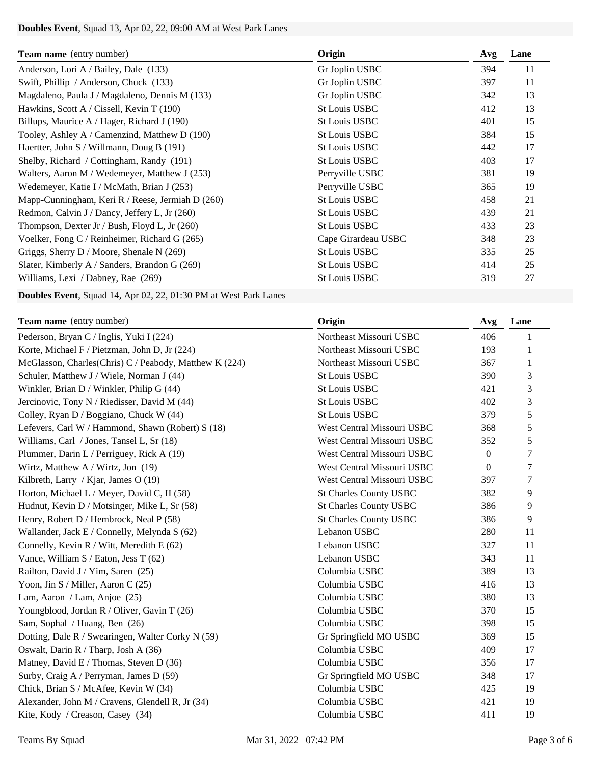# **Doubles Event**, Squad 13, Apr 02, 22, 09:00 AM at West Park Lanes

| <b>Team name</b> (entry number)                  | Origin               | Avg | Lane |
|--------------------------------------------------|----------------------|-----|------|
| Anderson, Lori A / Bailey, Dale (133)            | Gr Joplin USBC       | 394 | 11   |
| Swift, Phillip / Anderson, Chuck (133)           | Gr Joplin USBC       | 397 | 11   |
| Magdaleno, Paula J / Magdaleno, Dennis M (133)   | Gr Joplin USBC       | 342 | 13   |
| Hawkins, Scott A / Cissell, Kevin T (190)        | <b>St Louis USBC</b> | 412 | 13   |
| Billups, Maurice A / Hager, Richard J (190)      | <b>St Louis USBC</b> | 401 | 15   |
| Tooley, Ashley A / Camenzind, Matthew D (190)    | <b>St Louis USBC</b> | 384 | 15   |
| Haertter, John S / Willmann, Doug B (191)        | <b>St Louis USBC</b> | 442 | 17   |
| Shelby, Richard / Cottingham, Randy (191)        | <b>St Louis USBC</b> | 403 | 17   |
| Walters, Aaron M / Wedemeyer, Matthew J (253)    | Perryville USBC      | 381 | 19   |
| Wedemeyer, Katie I / McMath, Brian J (253)       | Perryville USBC      | 365 | 19   |
| Mapp-Cunningham, Keri R / Reese, Jermiah D (260) | <b>St Louis USBC</b> | 458 | 21   |
| Redmon, Calvin J / Dancy, Jeffery L, Jr (260)    | <b>St Louis USBC</b> | 439 | 21   |
| Thompson, Dexter Jr / Bush, Floyd L, Jr (260)    | <b>St Louis USBC</b> | 433 | 23   |
| Voelker, Fong C / Reinheimer, Richard G (265)    | Cape Girardeau USBC  | 348 | 23   |
| Griggs, Sherry D / Moore, Shenale N (269)        | <b>St Louis USBC</b> | 335 | 25   |
| Slater, Kimberly A / Sanders, Brandon G (269)    | <b>St Louis USBC</b> | 414 | 25   |
| Williams, Lexi / Dabney, Rae (269)               | <b>St Louis USBC</b> | 319 | 27   |

**Doubles Event**, Squad 14, Apr 02, 22, 01:30 PM at West Park Lanes

| Team name (entry number)                               | Origin                        | Avg              | Lane           |
|--------------------------------------------------------|-------------------------------|------------------|----------------|
| Pederson, Bryan C / Inglis, Yuki I (224)               | Northeast Missouri USBC       | 406              | 1              |
| Korte, Michael F / Pietzman, John D, Jr (224)          | Northeast Missouri USBC       | 193              | 1              |
| McGlasson, Charles(Chris) C / Peabody, Matthew K (224) | Northeast Missouri USBC       | 367              | 1              |
| Schuler, Matthew J / Wiele, Norman J (44)              | <b>St Louis USBC</b>          | 390              | 3              |
| Winkler, Brian D / Winkler, Philip G (44)              | <b>St Louis USBC</b>          | 421              | 3              |
| Jercinovic, Tony N / Riedisser, David M (44)           | <b>St Louis USBC</b>          | 402              | 3              |
| Colley, Ryan D / Boggiano, Chuck W (44)                | <b>St Louis USBC</b>          | 379              | 5              |
| Lefevers, Carl W / Hammond, Shawn (Robert) S (18)      | West Central Missouri USBC    | 368              | 5              |
| Williams, Carl / Jones, Tansel L, Sr (18)              | West Central Missouri USBC    | 352              | 5              |
| Plummer, Darin L / Perriguey, Rick A (19)              | West Central Missouri USBC    | $\boldsymbol{0}$ | $\overline{7}$ |
| Wirtz, Matthew A / Wirtz, Jon $(19)$                   | West Central Missouri USBC    | $\Omega$         | 7              |
| Kilbreth, Larry / Kjar, James O (19)                   | West Central Missouri USBC    | 397              | $\tau$         |
| Horton, Michael L / Meyer, David C, II (58)            | <b>St Charles County USBC</b> | 382              | 9              |
| Hudnut, Kevin D / Motsinger, Mike L, Sr (58)           | <b>St Charles County USBC</b> | 386              | 9              |
| Henry, Robert D / Hembrock, Neal P (58)                | <b>St Charles County USBC</b> | 386              | 9              |
| Wallander, Jack E / Connelly, Melynda S (62)           | Lebanon USBC                  | 280              | 11             |
| Connelly, Kevin R / Witt, Meredith E (62)              | Lebanon USBC                  | 327              | 11             |
| Vance, William S / Eaton, Jess T (62)                  | Lebanon USBC                  | 343              | 11             |
| Railton, David J / Yim, Saren (25)                     | Columbia USBC                 | 389              | 13             |
| Yoon, Jin S / Miller, Aaron C (25)                     | Columbia USBC                 | 416              | 13             |
| Lam, Aaron / Lam, Anjoe (25)                           | Columbia USBC                 | 380              | 13             |
| Youngblood, Jordan R / Oliver, Gavin T (26)            | Columbia USBC                 | 370              | 15             |
| Sam, Sophal / Huang, Ben (26)                          | Columbia USBC                 | 398              | 15             |
| Dotting, Dale R / Swearingen, Walter Corky N (59)      | Gr Springfield MO USBC        | 369              | 15             |
| Oswalt, Darin R / Tharp, Josh A (36)                   | Columbia USBC                 | 409              | 17             |
| Matney, David E / Thomas, Steven D (36)                | Columbia USBC                 | 356              | 17             |
| Surby, Craig A / Perryman, James D (59)                | Gr Springfield MO USBC        | 348              | 17             |
| Chick, Brian S / McAfee, Kevin W (34)                  | Columbia USBC                 | 425              | 19             |
| Alexander, John M / Cravens, Glendell R, Jr (34)       | Columbia USBC                 | 421              | 19             |
| Kite, Kody / Creason, Casey (34)                       | Columbia USBC                 | 411              | 19             |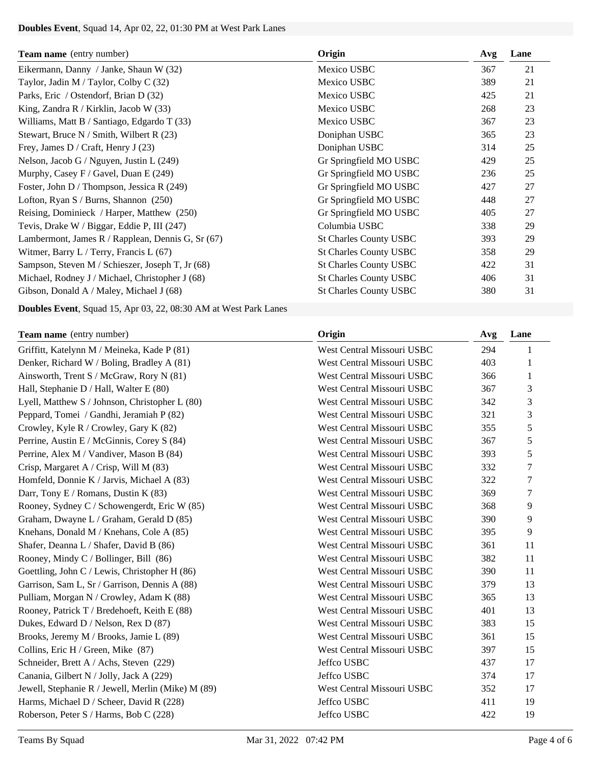# **Doubles Event**, Squad 14, Apr 02, 22, 01:30 PM at West Park Lanes

| <b>Team name</b> (entry number)                   | Origin                        | Avg | Lane |
|---------------------------------------------------|-------------------------------|-----|------|
| Eikermann, Danny / Janke, Shaun W (32)            | Mexico USBC                   | 367 | 21   |
| Taylor, Jadin M / Taylor, Colby C (32)            | Mexico USBC                   | 389 | 21   |
| Parks, Eric / Ostendorf, Brian D (32)             | Mexico USBC                   | 425 | 21   |
| King, Zandra R / Kirklin, Jacob W (33)            | Mexico USBC                   | 268 | 23   |
| Williams, Matt B / Santiago, Edgardo T (33)       | Mexico USBC                   | 367 | 23   |
| Stewart, Bruce N / Smith, Wilbert R (23)          | Doniphan USBC                 | 365 | 23   |
| Frey, James D / Craft, Henry J $(23)$             | Doniphan USBC                 | 314 | 25   |
| Nelson, Jacob G / Nguyen, Justin L $(249)$        | Gr Springfield MO USBC        | 429 | 25   |
| Murphy, Casey F / Gavel, Duan E $(249)$           | Gr Springfield MO USBC        | 236 | 25   |
| Foster, John D / Thompson, Jessica R (249)        | Gr Springfield MO USBC        | 427 | 27   |
| Lofton, Ryan $S /$ Burns, Shannon (250)           | Gr Springfield MO USBC        | 448 | 27   |
| Reising, Dominieck / Harper, Matthew (250)        | Gr Springfield MO USBC        | 405 | 27   |
| Tevis, Drake W / Biggar, Eddie P, III (247)       | Columbia USBC                 | 338 | 29   |
| Lambermont, James R / Rapplean, Dennis G, Sr (67) | <b>St Charles County USBC</b> | 393 | 29   |
| Witmer, Barry L / Terry, Francis L (67)           | <b>St Charles County USBC</b> | 358 | 29   |
| Sampson, Steven M / Schieszer, Joseph T, Jr (68)  | <b>St Charles County USBC</b> | 422 | 31   |
| Michael, Rodney J / Michael, Christopher J (68)   | <b>St Charles County USBC</b> | 406 | 31   |
| Gibson, Donald A / Maley, Michael J (68)          | <b>St Charles County USBC</b> | 380 | 31   |

**Doubles Event**, Squad 15, Apr 03, 22, 08:30 AM at West Park Lanes

| <b>Team name</b> (entry number)                    | Origin                     | Avg | Lane   |
|----------------------------------------------------|----------------------------|-----|--------|
| Griffitt, Katelynn M / Meineka, Kade P (81)        | West Central Missouri USBC | 294 |        |
| Denker, Richard W / Boling, Bradley A (81)         | West Central Missouri USBC | 403 | 1      |
| Ainsworth, Trent S / McGraw, Rory N (81)           | West Central Missouri USBC | 366 | 1      |
| Hall, Stephanie D / Hall, Walter E (80)            | West Central Missouri USBC | 367 | 3      |
| Lyell, Matthew S / Johnson, Christopher L (80)     | West Central Missouri USBC | 342 | 3      |
| Peppard, Tomei / Gandhi, Jeramiah P (82)           | West Central Missouri USBC | 321 | 3      |
| Crowley, Kyle R / Crowley, Gary K (82)             | West Central Missouri USBC | 355 | 5      |
| Perrine, Austin E / McGinnis, Corey S (84)         | West Central Missouri USBC | 367 | 5      |
| Perrine, Alex M / Vandiver, Mason B (84)           | West Central Missouri USBC | 393 | 5      |
| Crisp, Margaret A / Crisp, Will M (83)             | West Central Missouri USBC | 332 | $\tau$ |
| Homfeld, Donnie K / Jarvis, Michael A (83)         | West Central Missouri USBC | 322 | $\tau$ |
| Darr, Tony E / Romans, Dustin K (83)               | West Central Missouri USBC | 369 | $\tau$ |
| Rooney, Sydney C / Schowengerdt, Eric W (85)       | West Central Missouri USBC | 368 | 9      |
| Graham, Dwayne L / Graham, Gerald D (85)           | West Central Missouri USBC | 390 | 9      |
| Knehans, Donald M / Knehans, Cole A (85)           | West Central Missouri USBC | 395 | 9      |
| Shafer, Deanna L / Shafer, David B (86)            | West Central Missouri USBC | 361 | 11     |
| Rooney, Mindy C / Bollinger, Bill $(86)$           | West Central Missouri USBC | 382 | 11     |
| Goettling, John C / Lewis, Christopher H (86)      | West Central Missouri USBC | 390 | 11     |
| Garrison, Sam L, Sr / Garrison, Dennis A (88)      | West Central Missouri USBC | 379 | 13     |
| Pulliam, Morgan N / Crowley, Adam K (88)           | West Central Missouri USBC | 365 | 13     |
| Rooney, Patrick T / Bredehoeft, Keith E (88)       | West Central Missouri USBC | 401 | 13     |
| Dukes, Edward D / Nelson, Rex D (87)               | West Central Missouri USBC | 383 | 15     |
| Brooks, Jeremy M / Brooks, Jamie L (89)            | West Central Missouri USBC | 361 | 15     |
| Collins, Eric H / Green, Mike (87)                 | West Central Missouri USBC | 397 | 15     |
| Schneider, Brett A / Achs, Steven (229)            | Jeffco USBC                | 437 | 17     |
| Canania, Gilbert N / Jolly, Jack A (229)           | Jeffco USBC                | 374 | 17     |
| Jewell, Stephanie R / Jewell, Merlin (Mike) M (89) | West Central Missouri USBC | 352 | 17     |
| Harms, Michael D / Scheer, David R (228)           | Jeffco USBC                | 411 | 19     |
| Roberson, Peter S / Harms, Bob C (228)             | Jeffco USBC                | 422 | 19     |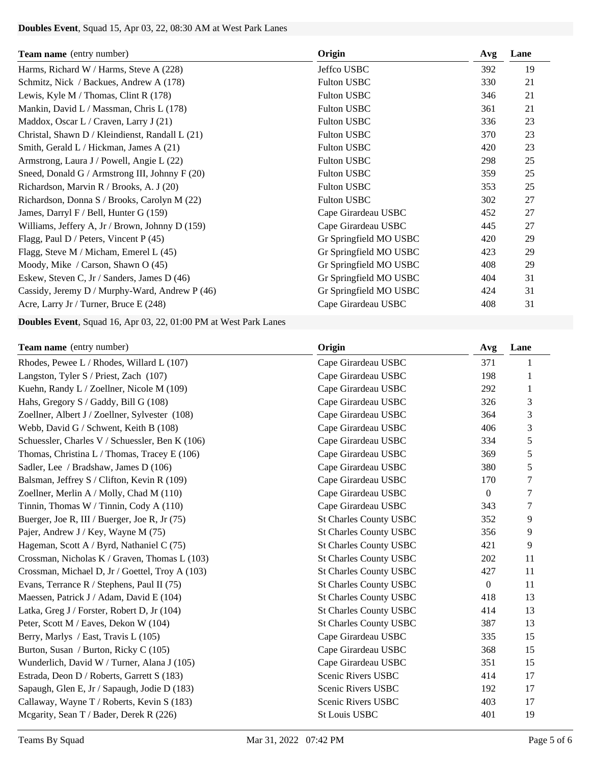# **Doubles Event**, Squad 15, Apr 03, 22, 08:30 AM at West Park Lanes

| <b>Team name</b> (entry number)                 | Origin                 | Avg | Lane |
|-------------------------------------------------|------------------------|-----|------|
| Harms, Richard W / Harms, Steve A (228)         | Jeffco USBC            | 392 | 19   |
| Schmitz, Nick / Backues, Andrew A (178)         | <b>Fulton USBC</b>     | 330 | 21   |
| Lewis, Kyle M / Thomas, Clint R $(178)$         | <b>Fulton USBC</b>     | 346 | 21   |
| Mankin, David L / Massman, Chris L (178)        | <b>Fulton USBC</b>     | 361 | 21   |
| Maddox, Oscar L / Craven, Larry J (21)          | <b>Fulton USBC</b>     | 336 | 23   |
| Christal, Shawn D / Kleindienst, Randall L (21) | <b>Fulton USBC</b>     | 370 | 23   |
| Smith, Gerald L / Hickman, James A (21)         | <b>Fulton USBC</b>     | 420 | 23   |
| Armstrong, Laura J / Powell, Angie L (22)       | <b>Fulton USBC</b>     | 298 | 25   |
| Sneed, Donald G / Armstrong III, Johnny F (20)  | <b>Fulton USBC</b>     | 359 | 25   |
| Richardson, Marvin R / Brooks, A. J (20)        | <b>Fulton USBC</b>     | 353 | 25   |
| Richardson, Donna S / Brooks, Carolyn M (22)    | <b>Fulton USBC</b>     | 302 | 27   |
| James, Darryl F / Bell, Hunter G $(159)$        | Cape Girardeau USBC    | 452 | 27   |
| Williams, Jeffery A, Jr / Brown, Johnny D (159) | Cape Girardeau USBC    | 445 | 27   |
| Flagg, Paul D / Peters, Vincent P (45)          | Gr Springfield MO USBC | 420 | 29   |
| Flagg, Steve M / Micham, Emerel L (45)          | Gr Springfield MO USBC | 423 | 29   |
| Moody, Mike / Carson, Shawn O (45)              | Gr Springfield MO USBC | 408 | 29   |
| Eskew, Steven C, Jr / Sanders, James D (46)     | Gr Springfield MO USBC | 404 | 31   |
| Cassidy, Jeremy D / Murphy-Ward, Andrew P (46)  | Gr Springfield MO USBC | 424 | 31   |
| Acre, Larry Jr / Turner, Bruce E (248)          | Cape Girardeau USBC    | 408 | 31   |

**Doubles Event**, Squad 16, Apr 03, 22, 01:00 PM at West Park Lanes

| <b>Team name</b> (entry number)                 | Origin                        | Avg              | Lane |
|-------------------------------------------------|-------------------------------|------------------|------|
| Rhodes, Pewee L / Rhodes, Willard L (107)       | Cape Girardeau USBC           | 371              | 1    |
| Langston, Tyler S / Priest, Zach (107)          | Cape Girardeau USBC           | 198              |      |
| Kuehn, Randy L / Zoellner, Nicole M (109)       | Cape Girardeau USBC           | 292              | 1    |
| Hahs, Gregory S / Gaddy, Bill G (108)           | Cape Girardeau USBC           | 326              | 3    |
| Zoellner, Albert J / Zoellner, Sylvester (108)  | Cape Girardeau USBC           | 364              | 3    |
| Webb, David G / Schwent, Keith B (108)          | Cape Girardeau USBC           | 406              | 3    |
| Schuessler, Charles V / Schuessler, Ben K (106) | Cape Girardeau USBC           | 334              | 5    |
| Thomas, Christina L / Thomas, Tracey E (106)    | Cape Girardeau USBC           | 369              | 5    |
| Sadler, Lee / Bradshaw, James D (106)           | Cape Girardeau USBC           | 380              | 5    |
| Balsman, Jeffrey S / Clifton, Kevin R (109)     | Cape Girardeau USBC           | 170              | 7    |
| Zoellner, Merlin A / Molly, Chad M (110)        | Cape Girardeau USBC           | $\boldsymbol{0}$ | 7    |
| Tinnin, Thomas W / Tinnin, Cody A (110)         | Cape Girardeau USBC           | 343              | 7    |
| Buerger, Joe R, III / Buerger, Joe R, Jr (75)   | <b>St Charles County USBC</b> | 352              | 9    |
| Pajer, Andrew J / Key, Wayne M (75)             | <b>St Charles County USBC</b> | 356              | 9    |
| Hageman, Scott A / Byrd, Nathaniel C (75)       | <b>St Charles County USBC</b> | 421              | 9    |
| Crossman, Nicholas K / Graven, Thomas L (103)   | <b>St Charles County USBC</b> | 202              | 11   |
| Crossman, Michael D, Jr / Goettel, Troy A (103) | <b>St Charles County USBC</b> | 427              | 11   |
| Evans, Terrance R / Stephens, Paul II (75)      | <b>St Charles County USBC</b> | $\mathbf{0}$     | 11   |
| Maessen, Patrick J / Adam, David E (104)        | <b>St Charles County USBC</b> | 418              | 13   |
| Latka, Greg J / Forster, Robert D, Jr (104)     | <b>St Charles County USBC</b> | 414              | 13   |
| Peter, Scott M / Eaves, Dekon W (104)           | <b>St Charles County USBC</b> | 387              | 13   |
| Berry, Marlys / East, Travis L (105)            | Cape Girardeau USBC           | 335              | 15   |
| Burton, Susan / Burton, Ricky C (105)           | Cape Girardeau USBC           | 368              | 15   |
| Wunderlich, David W / Turner, Alana J (105)     | Cape Girardeau USBC           | 351              | 15   |
| Estrada, Deon D / Roberts, Garrett S (183)      | Scenic Rivers USBC            | 414              | 17   |
| Sapaugh, Glen E, Jr / Sapaugh, Jodie D (183)    | Scenic Rivers USBC            | 192              | 17   |
| Callaway, Wayne T / Roberts, Kevin S (183)      | Scenic Rivers USBC            | 403              | 17   |
| Mcgarity, Sean T / Bader, Derek R (226)         | <b>St Louis USBC</b>          | 401              | 19   |